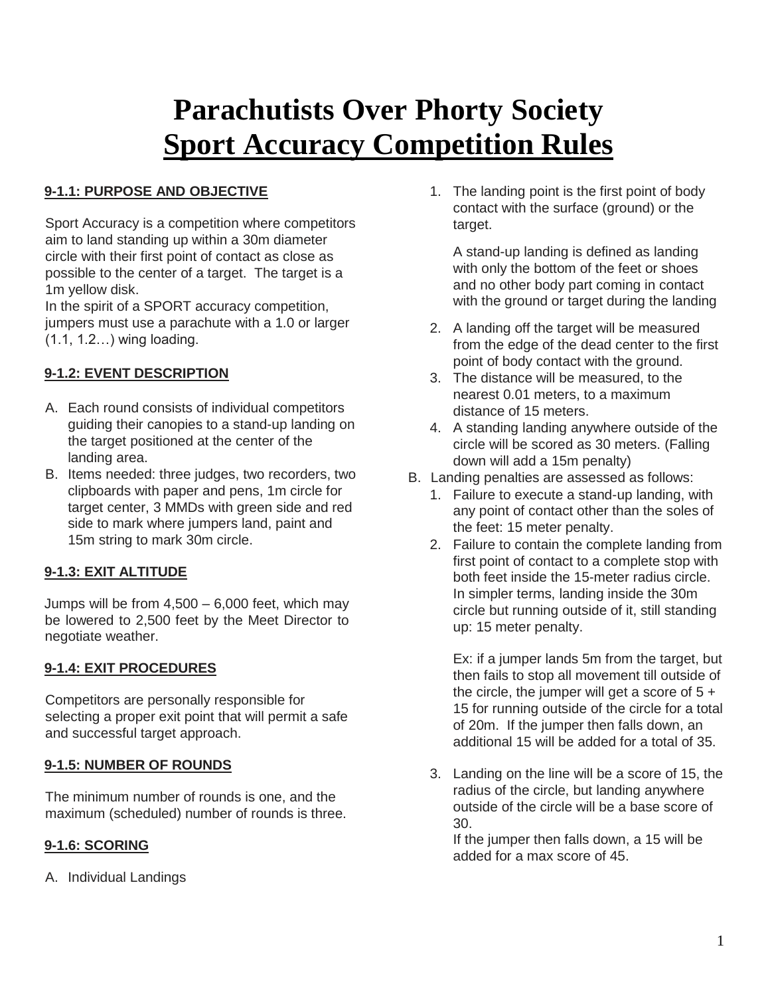# **Parachutists Over Phorty Society Sport Accuracy Competition Rules**

### **9-1.1: PURPOSE AND OBJECTIVE**

Sport Accuracy is a competition where competitors aim to land standing up within a 30m diameter circle with their first point of contact as close as possible to the center of a target. The target is a 1m yellow disk.

In the spirit of a SPORT accuracy competition, jumpers must use a parachute with a 1.0 or larger (1.1, 1.2…) wing loading.

### **9-1.2: EVENT DESCRIPTION**

- A. Each round consists of individual competitors guiding their canopies to a stand-up landing on the target positioned at the center of the landing area.
- B. Items needed: three judges, two recorders, two clipboards with paper and pens, 1m circle for target center, 3 MMDs with green side and red side to mark where jumpers land, paint and 15m string to mark 30m circle.

### **9-1.3: EXIT ALTITUDE**

Jumps will be from  $4.500 - 6.000$  feet, which may be lowered to 2,500 feet by the Meet Director to negotiate weather.

#### **9-1.4: EXIT PROCEDURES**

Competitors are personally responsible for selecting a proper exit point that will permit a safe and successful target approach.

#### **9-1.5: NUMBER OF ROUNDS**

The minimum number of rounds is one, and the maximum (scheduled) number of rounds is three.

#### **9-1.6: SCORING**

A. Individual Landings

1. The landing point is the first point of body contact with the surface (ground) or the target.

A stand-up landing is defined as landing with only the bottom of the feet or shoes and no other body part coming in contact with the ground or target during the landing

- 2. A landing off the target will be measured from the edge of the dead center to the first point of body contact with the ground.
- 3. The distance will be measured, to the nearest 0.01 meters, to a maximum distance of 15 meters.
- 4. A standing landing anywhere outside of the circle will be scored as 30 meters. (Falling down will add a 15m penalty)
- B. Landing penalties are assessed as follows:
	- 1. Failure to execute a stand-up landing, with any point of contact other than the soles of the feet: 15 meter penalty.
	- 2. Failure to contain the complete landing from first point of contact to a complete stop with both feet inside the 15-meter radius circle. In simpler terms, landing inside the 30m circle but running outside of it, still standing up: 15 meter penalty.

Ex: if a jumper lands 5m from the target, but then fails to stop all movement till outside of the circle, the jumper will get a score of  $5 +$ 15 for running outside of the circle for a total of 20m. If the jumper then falls down, an additional 15 will be added for a total of 35.

3. Landing on the line will be a score of 15, the radius of the circle, but landing anywhere outside of the circle will be a base score of 30.

If the jumper then falls down, a 15 will be added for a max score of 45.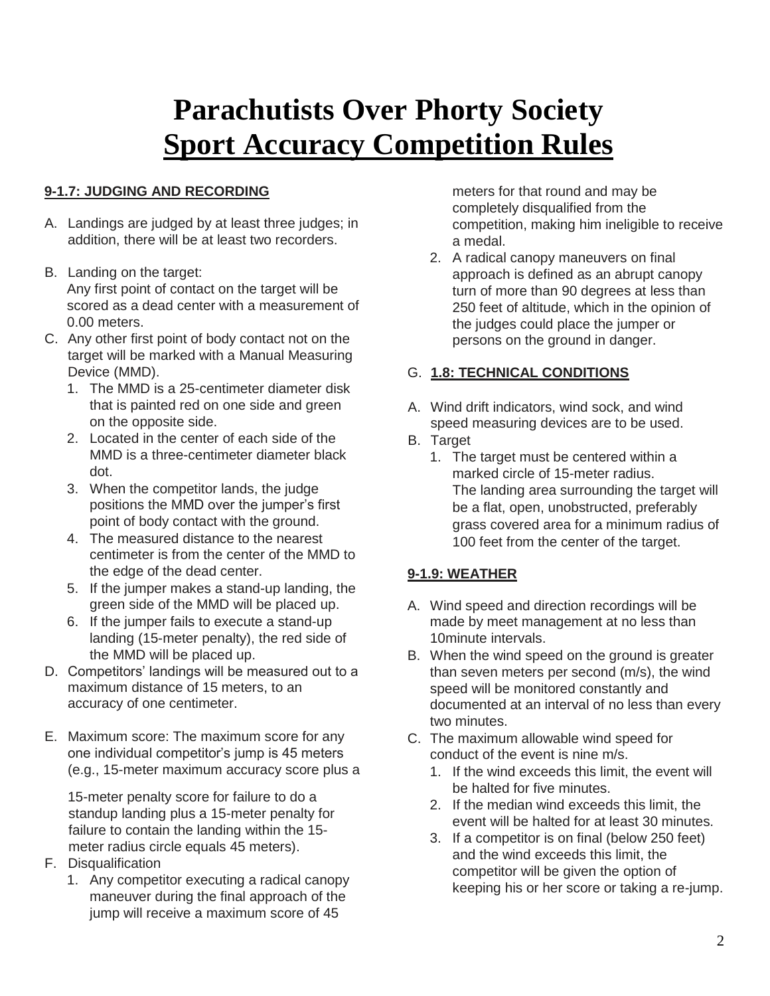# **Parachutists Over Phorty Society Sport Accuracy Competition Rules**

### **9-1.7: JUDGING AND RECORDING**

- A. Landings are judged by at least three judges; in addition, there will be at least two recorders.
- B. Landing on the target: Any first point of contact on the target will be scored as a dead center with a measurement of 0.00 meters.
- C. Any other first point of body contact not on the target will be marked with a Manual Measuring Device (MMD).
	- 1. The MMD is a 25-centimeter diameter disk that is painted red on one side and green on the opposite side.
	- 2. Located in the center of each side of the MMD is a three-centimeter diameter black dot.
	- 3. When the competitor lands, the judge positions the MMD over the jumper's first point of body contact with the ground.
	- 4. The measured distance to the nearest centimeter is from the center of the MMD to the edge of the dead center.
	- 5. If the jumper makes a stand-up landing, the green side of the MMD will be placed up.
	- 6. If the jumper fails to execute a stand-up landing (15-meter penalty), the red side of the MMD will be placed up.
- D. Competitors' landings will be measured out to a maximum distance of 15 meters, to an accuracy of one centimeter.
- E. Maximum score: The maximum score for any one individual competitor's jump is 45 meters (e.g., 15-meter maximum accuracy score plus a

15-meter penalty score for failure to do a standup landing plus a 15-meter penalty for failure to contain the landing within the 15 meter radius circle equals 45 meters).

- F. Disqualification
	- 1. Any competitor executing a radical canopy maneuver during the final approach of the jump will receive a maximum score of 45

meters for that round and may be completely disqualified from the competition, making him ineligible to receive a medal.

2. A radical canopy maneuvers on final approach is defined as an abrupt canopy turn of more than 90 degrees at less than 250 feet of altitude, which in the opinion of the judges could place the jumper or persons on the ground in danger.

### G. **1.8: TECHNICAL CONDITIONS**

- A. Wind drift indicators, wind sock, and wind speed measuring devices are to be used.
- B. Target
	- 1. The target must be centered within a marked circle of 15-meter radius. The landing area surrounding the target will be a flat, open, unobstructed, preferably grass covered area for a minimum radius of 100 feet from the center of the target.

### **9-1.9: WEATHER**

- A. Wind speed and direction recordings will be made by meet management at no less than 10minute intervals.
- B. When the wind speed on the ground is greater than seven meters per second (m/s), the wind speed will be monitored constantly and documented at an interval of no less than every two minutes.
- C. The maximum allowable wind speed for conduct of the event is nine m/s.
	- 1. If the wind exceeds this limit, the event will be halted for five minutes.
	- 2. If the median wind exceeds this limit, the event will be halted for at least 30 minutes.
	- 3. If a competitor is on final (below 250 feet) and the wind exceeds this limit, the competitor will be given the option of keeping his or her score or taking a re-jump.